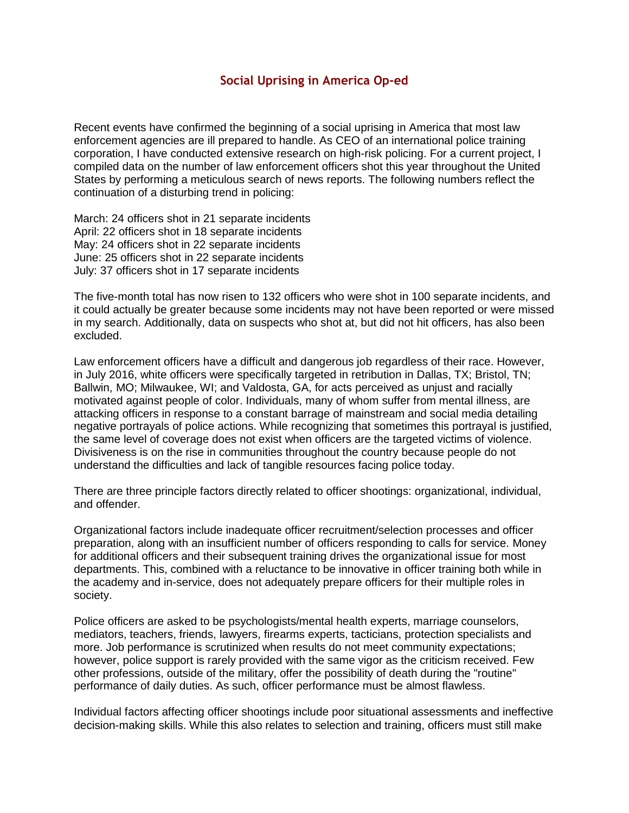## **Social Uprising in America Op-ed**

Recent events have confirmed the beginning of a social uprising in America that most law enforcement agencies are ill prepared to handle. As CEO of an international police training corporation, I have conducted extensive research on high-risk policing. For a current project, I compiled data on the number of law enforcement officers shot this year throughout the United States by performing a meticulous search of news reports. The following numbers reflect the continuation of a disturbing trend in policing:

March: 24 officers shot in 21 separate incidents April: 22 officers shot in 18 separate incidents May: 24 officers shot in 22 separate incidents June: 25 officers shot in 22 separate incidents July: 37 officers shot in 17 separate incidents

The five-month total has now risen to 132 officers who were shot in 100 separate incidents, and it could actually be greater because some incidents may not have been reported or were missed in my search. Additionally, data on suspects who shot at, but did not hit officers, has also been excluded.

Law enforcement officers have a difficult and dangerous job regardless of their race. However, in July 2016, white officers were specifically targeted in retribution in Dallas, TX; Bristol, TN; Ballwin, MO; Milwaukee, WI; and Valdosta, GA, for acts perceived as unjust and racially motivated against people of color. Individuals, many of whom suffer from mental illness, are attacking officers in response to a constant barrage of mainstream and social media detailing negative portrayals of police actions. While recognizing that sometimes this portrayal is justified, the same level of coverage does not exist when officers are the targeted victims of violence. Divisiveness is on the rise in communities throughout the country because people do not understand the difficulties and lack of tangible resources facing police today.

There are three principle factors directly related to officer shootings: organizational, individual, and offender.

Organizational factors include inadequate officer recruitment/selection processes and officer preparation, along with an insufficient number of officers responding to calls for service. Money for additional officers and their subsequent training drives the organizational issue for most departments. This, combined with a reluctance to be innovative in officer training both while in the academy and in-service, does not adequately prepare officers for their multiple roles in society.

Police officers are asked to be psychologists/mental health experts, marriage counselors, mediators, teachers, friends, lawyers, firearms experts, tacticians, protection specialists and more. Job performance is scrutinized when results do not meet community expectations; however, police support is rarely provided with the same vigor as the criticism received. Few other professions, outside of the military, offer the possibility of death during the "routine" performance of daily duties. As such, officer performance must be almost flawless.

Individual factors affecting officer shootings include poor situational assessments and ineffective decision-making skills. While this also relates to selection and training, officers must still make